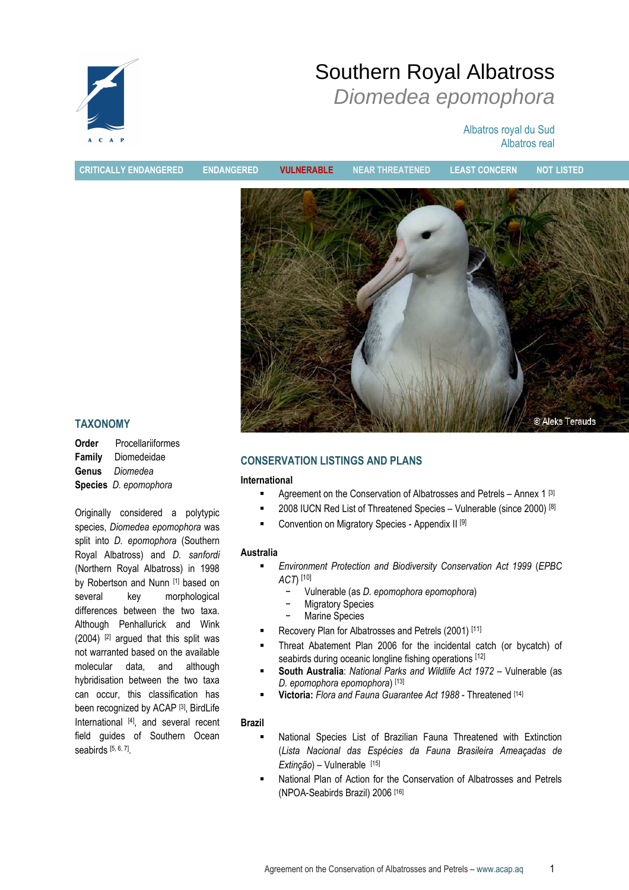

# Southern Royal Albatross Diomedea epomophora

## Albatros royal du Sud Albatros real

CRITICALLY ENDANGERED ENDANGERED VULNERABLE NEAR THREATENED LEAST CONCERN NOT LISTED© Aleks Terauds

## TAXONOMY

| Order  | Procellariiformes     |  |  |  |
|--------|-----------------------|--|--|--|
| Family | Diomedeidae           |  |  |  |
| Genus  | Diomedea              |  |  |  |
|        | Species D. epomophora |  |  |  |

Originally considered a polytypic species, Diomedea epomophora was split into *D. epomophora* (Southern Royal Albatross) and D. sanfordi (Northern Royal Albatross) in 1998 by Robertson and Nunn [1] based on several key morphological differences between the two taxa. Although Penhallurick and Wink (2004) [2] argued that this split was not warranted based on the available molecular data, and although hybridisation between the two taxa can occur, this classification has been recognized by ACAP<sup>[3]</sup>, BirdLife International [4], and several recent field guides of Southern Ocean seabirds [5, 6, 7] .

## CONSERVATION LISTINGS AND PLANS

## International

- **Agreement on the Conservation of Albatrosses and Petrels Annex 1 [3]**
- $\blacksquare$  2008 IUCN Red List of Threatened Species Vulnerable (since 2000) [8]
- Convention on Migratory Species Appendix II [9]

## Australia

- Environment Protection and Biodiversity Conservation Act 1999 (EPBC ACT) [10]
	- − Vulnerable (as D. epomophora epomophora)
	- − Migratory Species
	- − Marine Species
- Recovery Plan for Albatrosses and Petrels (2001) [11]
- Threat Abatement Plan 2006 for the incidental catch (or bycatch) of seabirds during oceanic longline fishing operations [12]
- South Australia: National Parks and Wildlife Act 1972 Vulnerable (as D. epomophora epomophora) [13]
- Victoria: Flora and Fauna Guarantee Act 1988 Threatened [14]

## Brazil

- National Species List of Brazilian Fauna Threatened with Extinction (Lista Nacional das Espécies da Fauna Brasileira Ameaçadas de Extinção) – Vulnerable [15]
- National Plan of Action for the Conservation of Albatrosses and Petrels (NPOA-Seabirds Brazil) 2006 [16]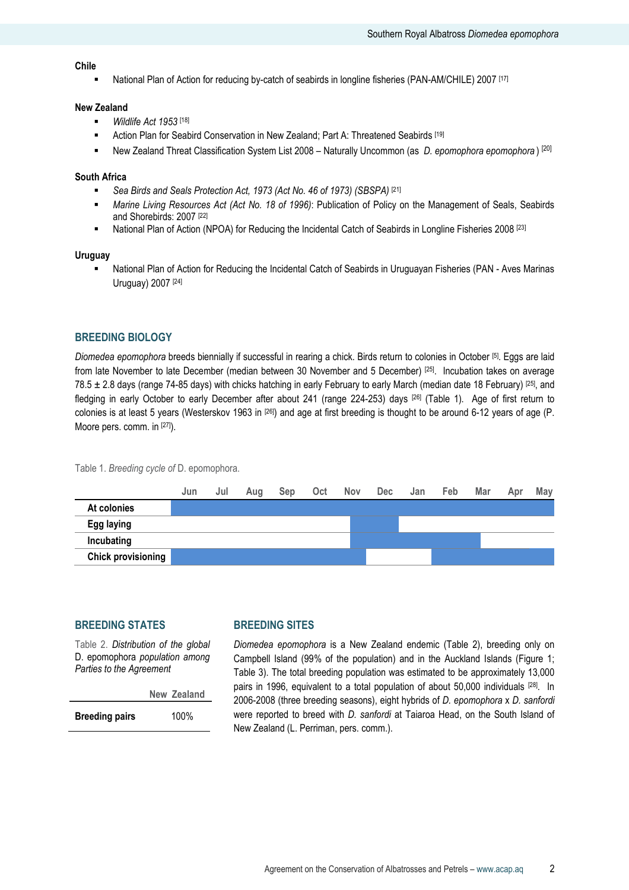#### Chile

National Plan of Action for reducing by-catch of seabirds in longline fisheries (PAN-AM/CHILE) 2007 [17]

#### New Zealand

- **Wildlife Act 1953** [18]
- **EXECT:** Action Plan for Seabird Conservation in New Zealand; Part A: Threatened Seabirds [19]
- New Zealand Threat Classification System List  $2008 -$  Naturally Uncommon (as D. epomophora epomophora) [20]

#### South Africa

- Sea Birds and Seals Protection Act, 1973 (Act No. 46 of 1973) (SBSPA) [21]
- Marine Living Resources Act (Act No. 18 of 1996): Publication of Policy on the Management of Seals, Seabirds and Shorebirds: 2007 [22]
- **National Plan of Action (NPOA) for Reducing the Incidental Catch of Seabirds in Longline Fisheries 2008** [23]

#### **Uruguay**

 National Plan of Action for Reducing the Incidental Catch of Seabirds in Uruguayan Fisheries (PAN - Aves Marinas Uruguay) 2007 [24]

## BREEDING BIOLOGY

Diomedea epomophora breeds biennially if successful in rearing a chick. Birds return to colonies in October [5]. Eggs are laid from late November to late December (median between 30 November and 5 December) [25]. Incubation takes on average 78.5  $\pm$  2.8 days (range 74-85 days) with chicks hatching in early February to early March (median date 18 February) [25], and fledging in early October to early December after about 241 (range 224-253) days [26] (Table 1). Age of first return to colonies is at least 5 years (Westerskov 1963 in [26]) and age at first breeding is thought to be around 6-12 years of age (P. Moore pers. comm. in [27]).

Table 1. Breeding cycle of D. epomophora.



## BREEDING STATES

Table 2. Distribution of the global D. epomophora population among Parties to the Agreement

|                       | New Zealand |  |
|-----------------------|-------------|--|
| <b>Breeding pairs</b> | 100%        |  |

## BREEDING SITES

Diomedea epomophora is a New Zealand endemic (Table 2), breeding only on Campbell Island (99% of the population) and in the Auckland Islands (Figure 1; Table 3). The total breeding population was estimated to be approximately 13,000 pairs in 1996, equivalent to a total population of about 50,000 individuals [28]. In 2006-2008 (three breeding seasons), eight hybrids of D. epomophora x D. sanfordi were reported to breed with *D. sanfordi* at Taiaroa Head, on the South Island of New Zealand (L. Perriman, pers. comm.).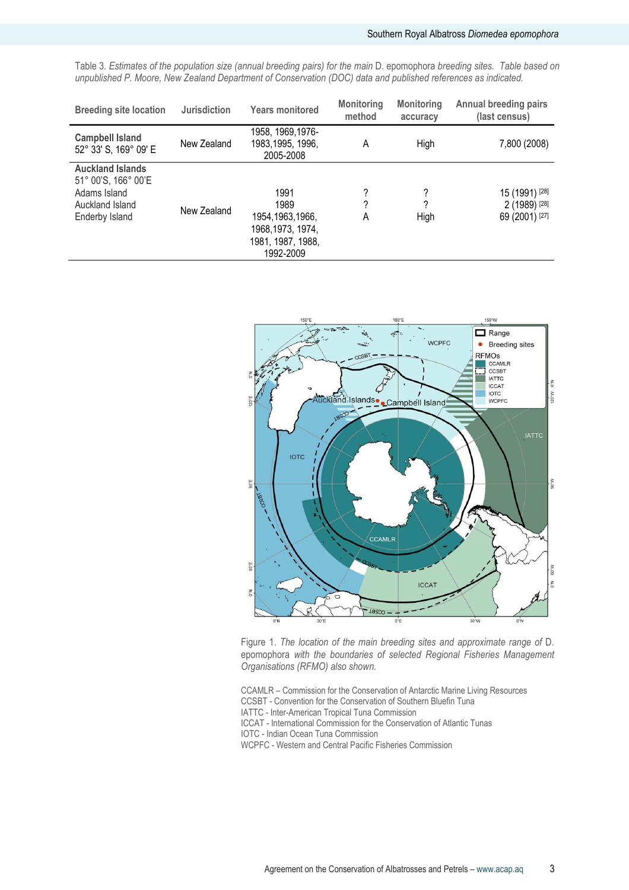Table 3. Estimates of the population size (annual breeding pairs) for the main D. epomophora breeding sites. Table based on unpublished P. Moore, New Zealand Department of Conservation (DOC) data and published references as indicated.

| <b>Breeding site location</b>                                                                       | <b>Jurisdiction</b> | <b>Years monitored</b>                                                                   | <b>Monitoring</b><br>method | <b>Monitoring</b><br>accuracy | <b>Annual breeding pairs</b><br>(last census)     |
|-----------------------------------------------------------------------------------------------------|---------------------|------------------------------------------------------------------------------------------|-----------------------------|-------------------------------|---------------------------------------------------|
| <b>Campbell Island</b><br>52° 33' S, 169° 09' E                                                     | New Zealand         | 1958, 1969, 1976-<br>1983, 1995, 1996,<br>2005-2008                                      | A                           | High                          | 7,800 (2008)                                      |
| <b>Auckland Islands</b><br>51° 00'S, 166° 00'E<br>Adams Island<br>Auckland Island<br>Enderby Island | New Zealand         | 1991<br>1989<br>1954, 1963, 1966,<br>1968, 1973, 1974,<br>1981, 1987, 1988,<br>1992-2009 | ?<br>2<br>A                 | ?<br>High                     | 15 (1991) [28]<br>2 (1989) [28]<br>69 (2001) [27] |



Figure 1. The location of the main breeding sites and approximate range of D. epomophora with the boundaries of selected Regional Fisheries Management Organisations (RFMO) also shown.

CCAMLR – Commission for the Conservation of Antarctic Marine Living Resources CCSBT - Convention for the Conservation of Southern Bluefin Tuna IATTC - Inter-American Tropical Tuna Commission

ICCAT - International Commission for the Conservation of Atlantic Tunas

IOTC - Indian Ocean Tuna Commission

WCPFC - Western and Central Pacific Fisheries Commission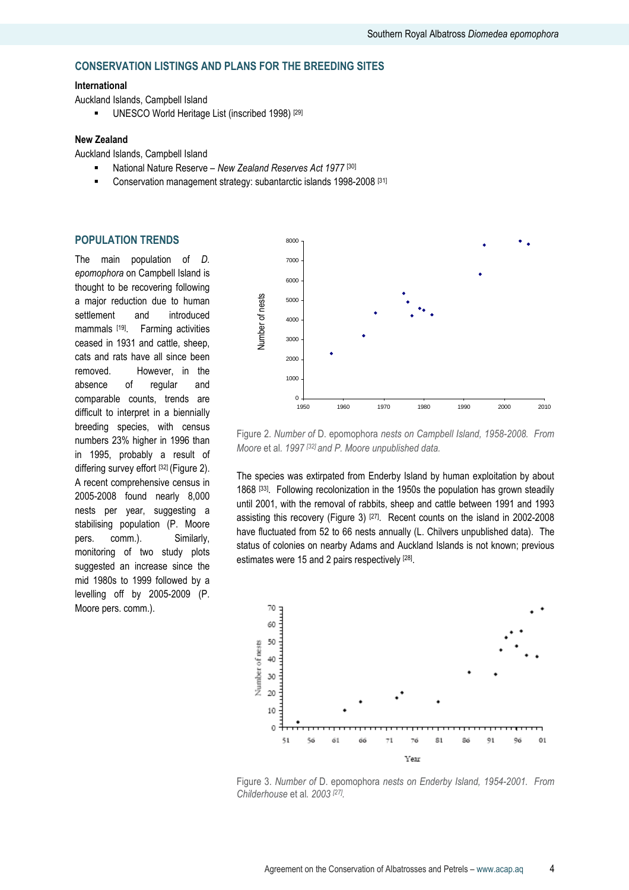## CONSERVATION LISTINGS AND PLANS FOR THE BREEDING SITES

#### International

Auckland Islands, Campbell Island

**UNESCO World Heritage List (inscribed 1998)** [29]

#### New Zealand

Auckland Islands, Campbell Island

- National Nature Reserve New Zealand Reserves Act 1977<sup>[30]</sup>
- **EXECONSERVATION management strategy: subantarctic islands 1998-2008** [31]

#### POPULATION TRENDS

The main population of *D*. epomophora on Campbell Island is thought to be recovering following a major reduction due to human settlement and introduced mammals [19]. Farming activities ceased in 1931 and cattle, sheep, cats and rats have all since been removed. However, in the absence of regular and comparable counts, trends are difficult to interpret in a biennially breeding species, with census numbers 23% higher in 1996 than in 1995, probably a result of differing survey effort [32] (Figure 2). A recent comprehensive census in 2005-2008 found nearly 8,000 nests per year, suggesting a stabilising population (P. Moore pers. comm.). Similarly, monitoring of two study plots suggested an increase since the mid 1980s to 1999 followed by a levelling off by 2005-2009 (P. Moore pers. comm.).



Figure 2. Number of D. epomophora nests on Campbell Island, 1958-2008. From Moore et al. 1997<sup>[32]</sup> and P. Moore unpublished data.

The species was extirpated from Enderby Island by human exploitation by about 1868 [33]. Following recolonization in the 1950s the population has grown steadily until 2001, with the removal of rabbits, sheep and cattle between 1991 and 1993 assisting this recovery (Figure 3)  $[27]$ . Recent counts on the island in 2002-2008 have fluctuated from 52 to 66 nests annually (L. Chilvers unpublished data). The status of colonies on nearby Adams and Auckland Islands is not known; previous estimates were 15 and 2 pairs respectively [28].



Figure 3. Number of D. epomophora nests on Enderby Island, 1954-2001. From Childerhouse et al. 2003 <sup>[27]</sup>.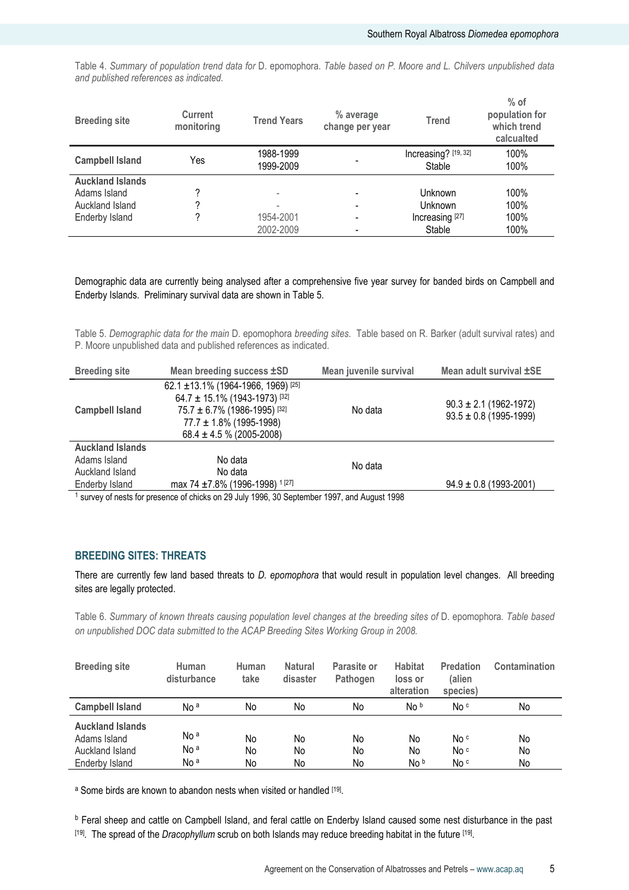Table 4. Summary of population trend data for D. epomophora. Table based on P. Moore and L. Chilvers unpublished data and published references as indicated.

| <b>Breeding site</b>    | <b>Current</b><br>monitoring | <b>Trend Years</b>     | % average<br>change per year | <b>Trend</b>                   | $%$ of<br>population for<br>which trend<br>calcualted |
|-------------------------|------------------------------|------------------------|------------------------------|--------------------------------|-------------------------------------------------------|
| <b>Campbell Island</b>  | Yes                          | 1988-1999<br>1999-2009 |                              | Increasing? [19, 32]<br>Stable | 100%<br>100%                                          |
| <b>Auckland Islands</b> |                              |                        |                              |                                |                                                       |
| Adams Island            |                              |                        |                              | <b>Unknown</b>                 | 100%                                                  |
| Auckland Island         |                              |                        |                              | <b>Unknown</b>                 | 100%                                                  |
| <b>Enderby Island</b>   |                              | 1954-2001              |                              | Increasing [27]                | 100%                                                  |
|                         |                              | 2002-2009              |                              | Stable                         | 100%                                                  |

Demographic data are currently being analysed after a comprehensive five year survey for banded birds on Campbell and Enderby Islands. Preliminary survival data are shown in Table 5.

Table 5. Demographic data for the main D. epomophora breeding sites. Table based on R. Barker (adult survival rates) and P. Moore unpublished data and published references as indicated.

| <b>Breeding site</b>    | Mean juvenile survival<br>Mean breeding success ±SD                                                                                                                            |         | Mean adult survival ±SE                                  |
|-------------------------|--------------------------------------------------------------------------------------------------------------------------------------------------------------------------------|---------|----------------------------------------------------------|
| <b>Campbell Island</b>  | 62.1 ± 13.1% (1964-1966, 1969) [25]<br>$64.7 \pm 15.1\%$ (1943-1973) [32]<br>$75.7 \pm 6.7\%$ (1986-1995) [32]<br>$77.7 \pm 1.8\%$ (1995-1998)<br>$68.4 \pm 4.5$ % (2005-2008) | No data | $90.3 \pm 2.1$ (1962-1972)<br>$93.5 \pm 0.8$ (1995-1999) |
| <b>Auckland Islands</b> |                                                                                                                                                                                |         |                                                          |
| Adams Island            | No data                                                                                                                                                                        | No data |                                                          |
| Auckland Island         | No data                                                                                                                                                                        |         |                                                          |
| Enderby Island          | max 74 ±7.8% (1996-1998) <sup>1[27]</sup>                                                                                                                                      |         | $94.9 \pm 0.8$ (1993-2001)                               |
|                         | eurovector for processo of objets on 20 July 1006, 20 Contempor 1007, and August 1008                                                                                          |         |                                                          |

<sup>1</sup> survey of nests for presence of chicks on 29 July 1996, 30 September 1997, and August 1998

## BREEDING SITES: THREATS

There are currently few land based threats to D. epomophora that would result in population level changes. All breeding sites are legally protected.

Table 6. Summary of known threats causing population level changes at the breeding sites of D. epomophora. Table based on unpublished DOC data submitted to the ACAP Breeding Sites Working Group in 2008.

| <b>Breeding site</b>                                                         | Human<br>disturbance                                  | Human<br>take  | <b>Natural</b><br>disaster | Parasite or<br>Pathogen | <b>Habitat</b><br>loss or<br>alteration | <b>Predation</b><br>(alien<br>species) | Contamination  |
|------------------------------------------------------------------------------|-------------------------------------------------------|----------------|----------------------------|-------------------------|-----------------------------------------|----------------------------------------|----------------|
| <b>Campbell Island</b>                                                       | No <sup>a</sup>                                       | No             | No                         | No                      | No b                                    | No c                                   | No             |
| <b>Auckland Islands</b><br>Adams Island<br>Auckland Island<br>Enderby Island | No <sup>a</sup><br>No <sup>a</sup><br>No <sup>a</sup> | No<br>No<br>No | No<br>No<br>No             | No<br>No<br>No          | No<br>No<br>No b                        | No c<br>No c<br>No c                   | No<br>No<br>No |

a Some birds are known to abandon nests when visited or handled <a>[19]</a>.

b Feral sheep and cattle on Campbell Island, and feral cattle on Enderby Island caused some nest disturbance in the past [<sup>19]</sup>. The spread of the Dracophyllum scrub on both Islands may reduce breeding habitat in the future <sup>[19]</sup>.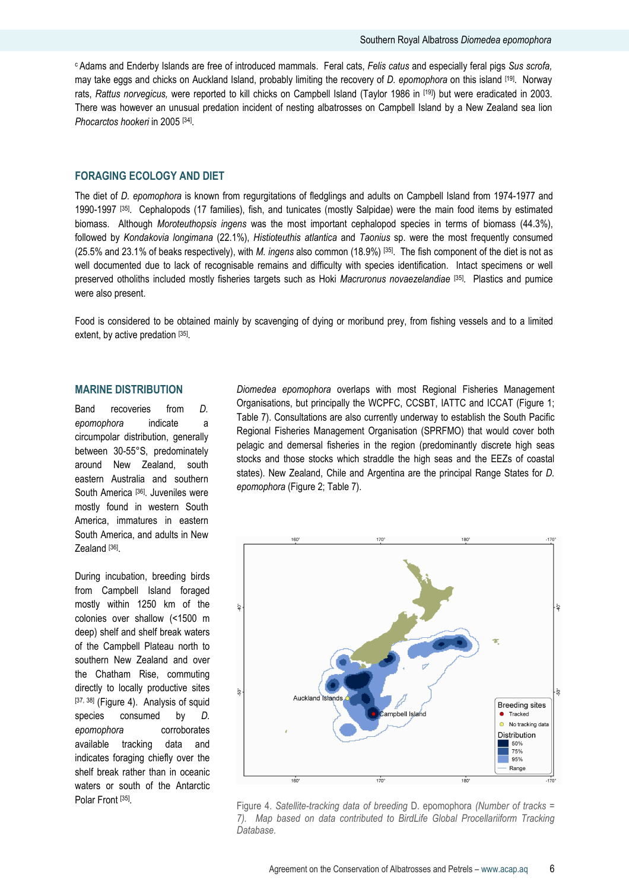<sup>c</sup> Adams and Enderby Islands are free of introduced mammals. Feral cats, Felis catus and especially feral pigs Sus scrofa, may take eggs and chicks on Auckland Island, probably limiting the recovery of D. epomophora on this island [19]. Norway rats, Rattus norvegicus, were reported to kill chicks on Campbell Island (Taylor 1986 in [19]) but were eradicated in 2003. There was however an unusual predation incident of nesting albatrosses on Campbell Island by a New Zealand sea lion Phocarctos hookeri in 2005 [34].

#### FORAGING ECOLOGY AND DIET

The diet of D. epomophora is known from regurgitations of fledglings and adults on Campbell Island from 1974-1977 and 1990-1997 [35]. Cephalopods (17 families), fish, and tunicates (mostly Salpidae) were the main food items by estimated biomass. Although Moroteuthopsis ingens was the most important cephalopod species in terms of biomass (44.3%), followed by Kondakovia longimana (22.1%), Histioteuthis atlantica and Taonius sp. were the most frequently consumed  $(25.5\%$  and 23.1% of beaks respectively), with M. ingens also common  $(18.9\%)$  [35]. The fish component of the diet is not as well documented due to lack of recognisable remains and difficulty with species identification. Intact specimens or well preserved otholiths included mostly fisheries targets such as Hoki Macruronus novaezelandiae [35]. Plastics and pumice were also present.

Food is considered to be obtained mainly by scavenging of dying or moribund prey, from fishing vessels and to a limited extent, by active predation [35].

#### MARINE DISTRIBUTION

Band recoveries from D. epomophora indicate a circumpolar distribution, generally between 30-55°S, predominately around New Zealand, south eastern Australia and southern South America<sup>[36]</sup>. Juveniles were mostly found in western South America, immatures in eastern South America, and adults in New Zealand [<sup>36]</sup>.

During incubation, breeding birds from Campbell Island foraged mostly within 1250 km of the colonies over shallow (<1500 m deep) shelf and shelf break waters of the Campbell Plateau north to southern New Zealand and over the Chatham Rise, commuting directly to locally productive sites [37, 38] (Figure 4). Analysis of squid species consumed by *D.* epomophora corroborates available tracking data and indicates foraging chiefly over the shelf break rather than in oceanic waters or south of the Antarctic Polar Front [35].

Diomedea epomophora overlaps with most Regional Fisheries Management Organisations, but principally the WCPFC, CCSBT, IATTC and ICCAT (Figure 1; Table 7). Consultations are also currently underway to establish the South Pacific Regional Fisheries Management Organisation (SPRFMO) that would cover both pelagic and demersal fisheries in the region (predominantly discrete high seas stocks and those stocks which straddle the high seas and the EEZs of coastal states). New Zealand, Chile and Argentina are the principal Range States for D. epomophora (Figure 2; Table 7).



Figure 4. Satellite-tracking data of breeding D. epomophora (Number of tracks = 7). Map based on data contributed to BirdLife Global Procellariiform Tracking Database.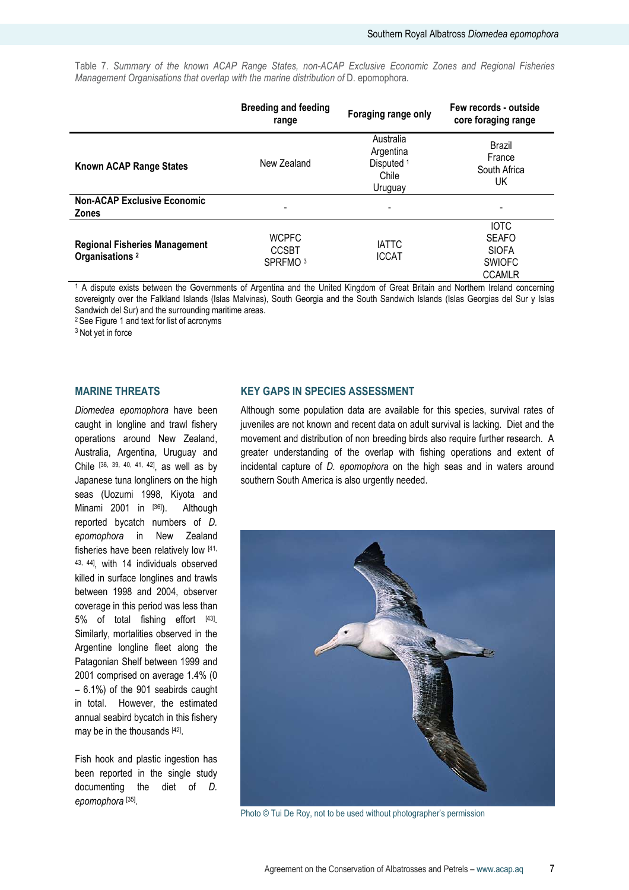Table 7. Summary of the known ACAP Range States, non-ACAP Exclusive Economic Zones and Regional Fisheries Management Organisations that overlap with the marine distribution of D. epomophora.

|                                                                    | <b>Breeding and feeding</b><br>range                | Foraging range only                                                 | Few records - outside<br>core foraging range                                  |
|--------------------------------------------------------------------|-----------------------------------------------------|---------------------------------------------------------------------|-------------------------------------------------------------------------------|
| <b>Known ACAP Range States</b>                                     | New Zealand                                         | Australia<br>Argentina<br>Disputed <sup>1</sup><br>Chile<br>Uruguay | Brazil<br>France<br>South Africa<br>UK                                        |
| <b>Non-ACAP Exclusive Economic</b><br><b>Zones</b>                 |                                                     |                                                                     |                                                                               |
| <b>Regional Fisheries Management</b><br>Organisations <sup>2</sup> | <b>WCPFC</b><br><b>CCSBT</b><br>SPRFMO <sup>3</sup> | <b>IATTC</b><br><b>ICCAT</b>                                        | <b>IOTC</b><br><b>SEAFO</b><br><b>SIOFA</b><br><b>SWIOFC</b><br><b>CCAMLR</b> |

1 A dispute exists between the Governments of Argentina and the United Kingdom of Great Britain and Northern Ireland concerning sovereignty over the Falkland Islands (Islas Malvinas), South Georgia and the South Sandwich Islands (Islas Georgias del Sur y Islas Sandwich del Sur) and the surrounding maritime areas.

<sup>2</sup>See Figure 1 and text for list of acronyms

<sup>3</sup> Not yet in force

#### MARINE THREATS

Diomedea epomophora have been caught in longline and trawl fishery operations around New Zealand, Australia, Argentina, Uruguay and Chile [36, 39, 40, 41, 42], as well as by Japanese tuna longliners on the high seas (Uozumi 1998, Kiyota and Minami 2001 in [36]). Although reported bycatch numbers of D. epomophora in New Zealand fisheries have been relatively low [41, 43, 44], with 14 individuals observed killed in surface longlines and trawls between 1998 and 2004, observer coverage in this period was less than 5% of total fishing effort [43]. Similarly, mortalities observed in the Argentine longline fleet along the Patagonian Shelf between 1999 and 2001 comprised on average 1.4% (0 – 6.1%) of the 901 seabirds caught in total. However, the estimated annual seabird bycatch in this fishery may be in the thousands [42].

Fish hook and plastic ingestion has been reported in the single study documenting the diet of D. epomophora [35] .

#### KEY GAPS IN SPECIES ASSESSMENT

Although some population data are available for this species, survival rates of juveniles are not known and recent data on adult survival is lacking. Diet and the movement and distribution of non breeding birds also require further research. A greater understanding of the overlap with fishing operations and extent of incidental capture of D. epomophora on the high seas and in waters around southern South America is also urgently needed.



Photo © Tui De Roy, not to be used without photographer's permission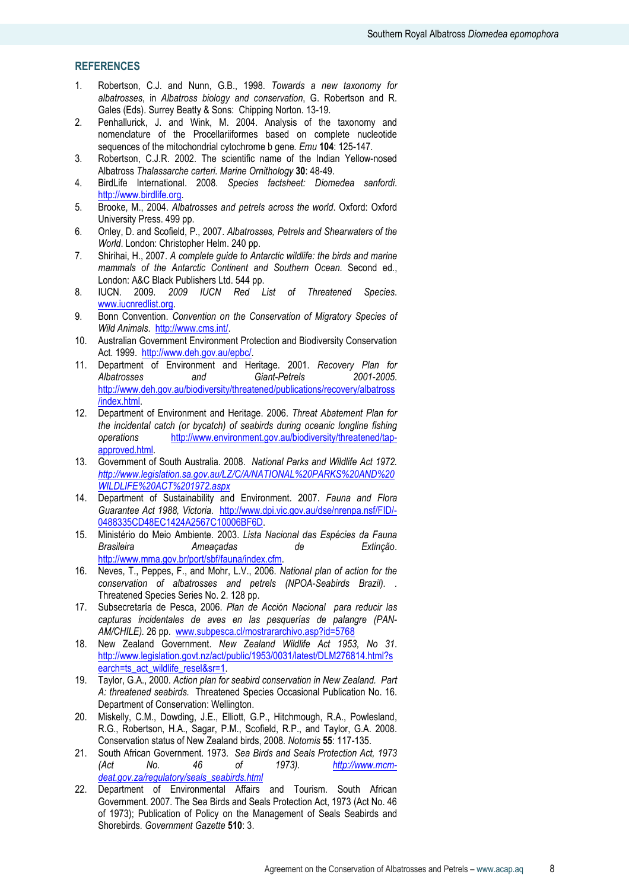## **REFERENCES**

- 1. Robertson, C.J. and Nunn, G.B., 1998. Towards a new taxonomy for albatrosses, in Albatross biology and conservation, G. Robertson and R. Gales (Eds). Surrey Beatty & Sons: Chipping Norton. 13-19.
- 2. Penhallurick, J. and Wink, M. 2004. Analysis of the taxonomy and nomenclature of the Procellariiformes based on complete nucleotide sequences of the mitochondrial cytochrome b gene. Emu 104: 125-147.
- 3. Robertson, C.J.R. 2002. The scientific name of the Indian Yellow-nosed Albatross Thalassarche carteri. Marine Ornithology 30: 48-49.
- 4. BirdLife International. 2008. Species factsheet: Diomedea sanfordi. http://www.birdlife.org.
- 5. Brooke, M., 2004. Albatrosses and petrels across the world. Oxford: Oxford University Press. 499 pp.
- 6. Onley, D. and Scofield, P., 2007. Albatrosses, Petrels and Shearwaters of the World. London: Christopher Helm. 240 pp.
- 7. Shirihai, H., 2007. A complete guide to Antarctic wildlife: the birds and marine mammals of the Antarctic Continent and Southern Ocean. Second ed., London: A&C Black Publishers Ltd. 544 pp.
- 8. IUCN. 2009. 2009 IUCN Red List of Threatened Species. www.iucnredlist.org.
- 9. Bonn Convention. Convention on the Conservation of Migratory Species of Wild Animals. http://www.cms.int/.
- 10. Australian Government Environment Protection and Biodiversity Conservation Act. 1999. http://www.deh.gov.au/epbc/.
- 11. Department of Environment and Heritage. 2001. Recovery Plan for<br>Albatrosses and Giant-Petrels 2001-2005. and Giant-Petrels http://www.deh.gov.au/biodiversity/threatened/publications/recovery/albatross /index.html.
- 12. Department of Environment and Heritage. 2006. Threat Abatement Plan for the incidental catch (or bycatch) of seabirds during oceanic longline fishing operations http://www.environment.gov.au/biodiversity/threatened/tapapproved.html.
- 13. Government of South Australia. 2008. National Parks and Wildlife Act 1972. http://www.legislation.sa.gov.au/LZ/C/A/NATIONAL%20PARKS%20AND%20 WILDLIFE%20ACT%201972.aspx
- 14. Department of Sustainability and Environment. 2007. Fauna and Flora Guarantee Act 1988, Victoria. http://www.dpi.vic.gov.au/dse/nrenpa.nsf/FID/- 0488335CD48EC1424A2567C10006BF6D.
- 15. Ministério do Meio Ambiente. 2003. Lista Nacional das Espécies da Fauna Brasileira **Ameaçadas** de Extinção. http://www.mma.gov.br/port/sbf/fauna/index.cfm.
- 16. Neves, T., Peppes, F., and Mohr, L.V., 2006. National plan of action for the conservation of albatrosses and petrels (NPOA-Seabirds Brazil). . Threatened Species Series No. 2. 128 pp.
- 17. Subsecretaría de Pesca, 2006. Plan de Acción Nacional para reducir las capturas incidentales de aves en las pesquerías de palangre (PAN-AM/CHILE). 26 pp. www.subpesca.cl/mostrararchivo.asp?id=5768
- 18. New Zealand Government. New Zealand Wildlife Act 1953, No 31. http://www.legislation.govt.nz/act/public/1953/0031/latest/DLM276814.html?s earch=ts\_act\_wildlife\_resel&sr=1.
- 19. Taylor, G.A., 2000. Action plan for seabird conservation in New Zealand. Part A: threatened seabirds. Threatened Species Occasional Publication No. 16. Department of Conservation: Wellington.
- 20. Miskelly, C.M., Dowding, J.E., Elliott, G.P., Hitchmough, R.A., Powlesland, R.G., Robertson, H.A., Sagar, P.M., Scofield, R.P., and Taylor, G.A. 2008. Conservation status of New Zealand birds, 2008. Notornis 55: 117-135.
- 21. South African Government. 1973. Sea Birds and Seals Protection Act, 1973 (Act No. 46 of 1973). http://www.mcmdeat.gov.za/regulatory/seals\_seabirds.html
- 22. Department of Environmental Affairs and Tourism. South African Government. 2007. The Sea Birds and Seals Protection Act, 1973 (Act No. 46 of 1973); Publication of Policy on the Management of Seals Seabirds and Shorebirds. Government Gazette 510: 3.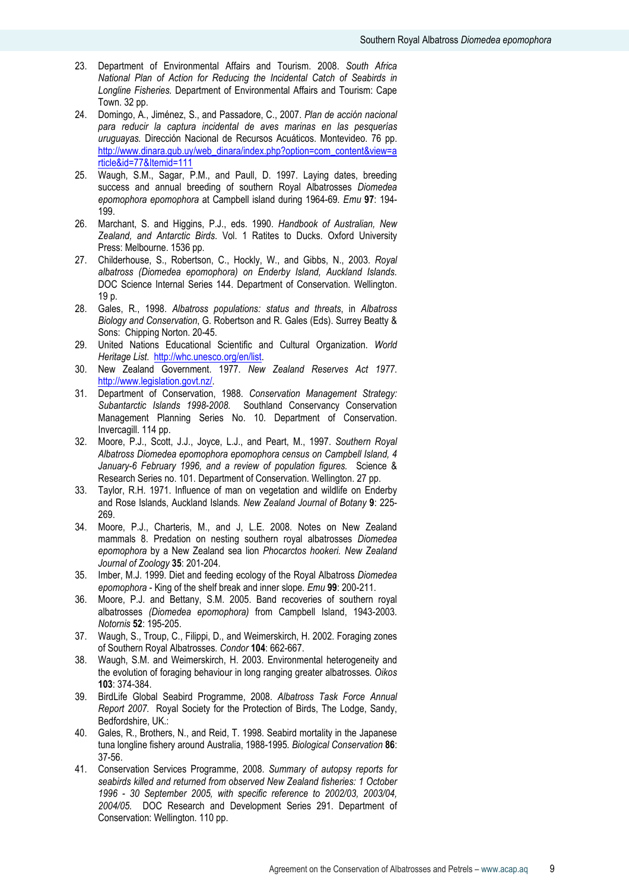- 23. Department of Environmental Affairs and Tourism. 2008. South Africa National Plan of Action for Reducing the Incidental Catch of Seabirds in Longline Fisheries. Department of Environmental Affairs and Tourism: Cape Town. 32 pp.
- 24. Domingo, A., Jiménez, S., and Passadore, C., 2007. Plan de acción nacional para reducir la captura incidental de aves marinas en las pesquerías uruguayas. Dirección Nacional de Recursos Acuáticos. Montevideo. 76 pp. http://www.dinara.gub.uy/web\_dinara/index.php?option=com\_content&view=a rticle&id=77&Itemid=111
- 25. Waugh, S.M., Sagar, P.M., and Paull, D. 1997. Laying dates, breeding success and annual breeding of southern Royal Albatrosses Diomedea epomophora epomophora at Campbell island during 1964-69. Emu 97: 194- 199.
- 26. Marchant, S. and Higgins, P.J., eds. 1990. Handbook of Australian, New Zealand, and Antarctic Birds. Vol. 1 Ratites to Ducks. Oxford University Press: Melbourne. 1536 pp.
- 27. Childerhouse, S., Robertson, C., Hockly, W., and Gibbs, N., 2003. Royal albatross (Diomedea epomophora) on Enderby Island, Auckland Islands. DOC Science Internal Series 144. Department of Conservation. Wellington. 19 p.
- 28. Gales, R., 1998. Albatross populations: status and threats, in Albatross Biology and Conservation, G. Robertson and R. Gales (Eds). Surrey Beatty & Sons: Chipping Norton. 20-45.
- 29. United Nations Educational Scientific and Cultural Organization. World Heritage List. http://whc.unesco.org/en/list.
- 30. New Zealand Government. 1977. New Zealand Reserves Act 1977. http://www.legislation.govt.nz/.
- 31. Department of Conservation, 1988. Conservation Management Strategy: Subantarctic Islands 1998-2008. Southland Conservancy Conservation Management Planning Series No. 10. Department of Conservation. Invercagill. 114 pp.
- 32. Moore, P.J., Scott, J.J., Joyce, L.J., and Peart, M., 1997. Southern Royal Albatross Diomedea epomophora epomophora census on Campbell Island, 4 January-6 February 1996, and a review of population figures. Science & Research Series no. 101. Department of Conservation. Wellington. 27 pp.
- 33. Taylor, R.H. 1971. Influence of man on vegetation and wildlife on Enderby and Rose Islands, Auckland Islands. New Zealand Journal of Botany 9: 225- 269.
- 34. Moore, P.J., Charteris, M., and J, L.E. 2008. Notes on New Zealand mammals 8. Predation on nesting southern royal albatrosses Diomedea epomophora by a New Zealand sea lion Phocarctos hookeri. New Zealand Journal of Zoology 35: 201-204.
- 35. Imber, M.J. 1999. Diet and feeding ecology of the Royal Albatross Diomedea epomophora - King of the shelf break and inner slope. Emu 99: 200-211.
- 36. Moore, P.J. and Bettany, S.M. 2005. Band recoveries of southern royal albatrosses (Diomedea epomophora) from Campbell Island, 1943-2003. Notornis 52: 195-205.
- 37. Waugh, S., Troup, C., Filippi, D., and Weimerskirch, H. 2002. Foraging zones of Southern Royal Albatrosses. Condor 104: 662-667.
- 38. Waugh, S.M. and Weimerskirch, H. 2003. Environmental heterogeneity and the evolution of foraging behaviour in long ranging greater albatrosses. Oikos 103: 374-384.
- 39. BirdLife Global Seabird Programme, 2008. Albatross Task Force Annual Report 2007. Royal Society for the Protection of Birds, The Lodge, Sandy, Bedfordshire, UK.:
- 40. Gales, R., Brothers, N., and Reid, T. 1998. Seabird mortality in the Japanese tuna longline fishery around Australia, 1988-1995. Biological Conservation 86: 37-56.
- 41. Conservation Services Programme, 2008. Summary of autopsy reports for seabirds killed and returned from observed New Zealand fisheries: 1 October 1996 - 30 September 2005, with specific reference to 2002/03, 2003/04, 2004/05. DOC Research and Development Series 291. Department of Conservation: Wellington. 110 pp.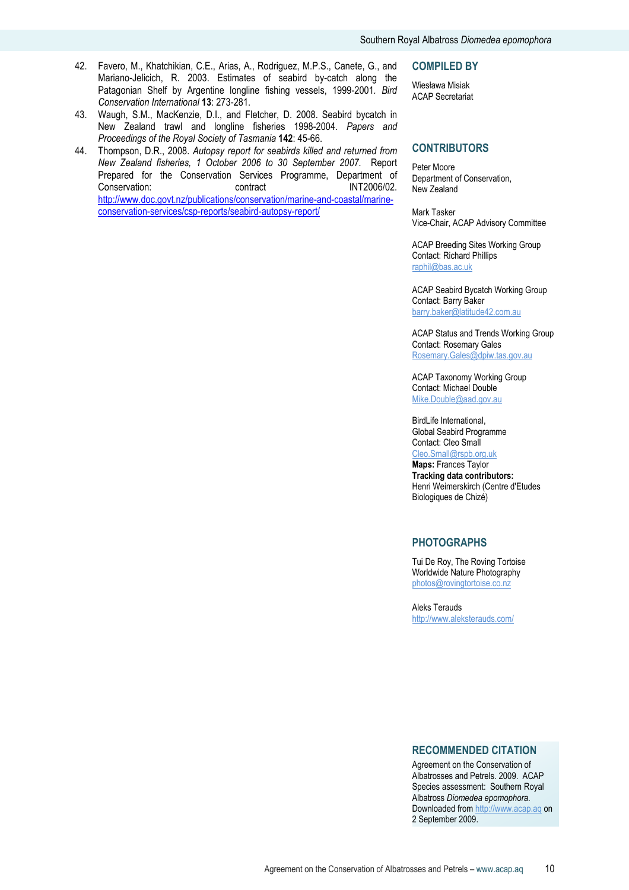- 42. Favero, M., Khatchikian, C.E., Arias, A., Rodriguez, M.P.S., Canete, G., and Mariano-Jelicich, R. 2003. Estimates of seabird by-catch along the Patagonian Shelf by Argentine longline fishing vessels, 1999-2001. Bird Conservation International 13: 273-281.
- 43. Waugh, S.M., MacKenzie, D.I., and Fletcher, D. 2008. Seabird bycatch in New Zealand trawl and longline fisheries 1998-2004. Papers and Proceedings of the Royal Society of Tasmania 142: 45-66.
- 44. Thompson, D.R., 2008. Autopsy report for seabirds killed and returned from New Zealand fisheries, 1 October 2006 to 30 September 2007. Report Prepared for the Conservation Services Programme, Department of Conservation: contract Conservation: contract INT2006/02. http://www.doc.govt.nz/publications/conservation/marine-and-coastal/marineconservation-services/csp-reports/seabird-autopsy-report/

#### COMPILED BY

Wiesława Misiak ACAP Secretariat

#### **CONTRIBUTORS**

Peter Moore Department of Conservation, New Zealand

Mark Tasker Vice-Chair, ACAP Advisory Committee

ACAP Breeding Sites Working Group Contact: Richard Phillips raphil@bas.ac.uk

ACAP Seabird Bycatch Working Group Contact: Barry Baker barry.baker@latitude42.com.au

ACAP Status and Trends Working Group Contact: Rosemary Gales Rosemary.Gales@dpiw.tas.gov.au

ACAP Taxonomy Working Group Contact: Michael Double Mike.Double@aad.gov.au

BirdLife International, Global Seabird Programme Contact: Cleo Small Cleo.Small@rspb.org.uk

Maps: Frances Taylor Tracking data contributors: Henri Weimerskirch (Centre d'Etudes Biologiques de Chizé)

#### PHOTOGRAPHS

Tui De Roy, The Roving Tortoise Worldwide Nature Photography photos@rovingtortoise.co.nz

Aleks Terauds http://www.aleksterauds.com/

## RECOMMENDED CITATION

Agreement on the Conservation of Albatrosses and Petrels. 2009. ACAP Species assessment: Southern Royal Albatross Diomedea epomophora. Downloaded from http://www.acap.aq on 2 September 2009.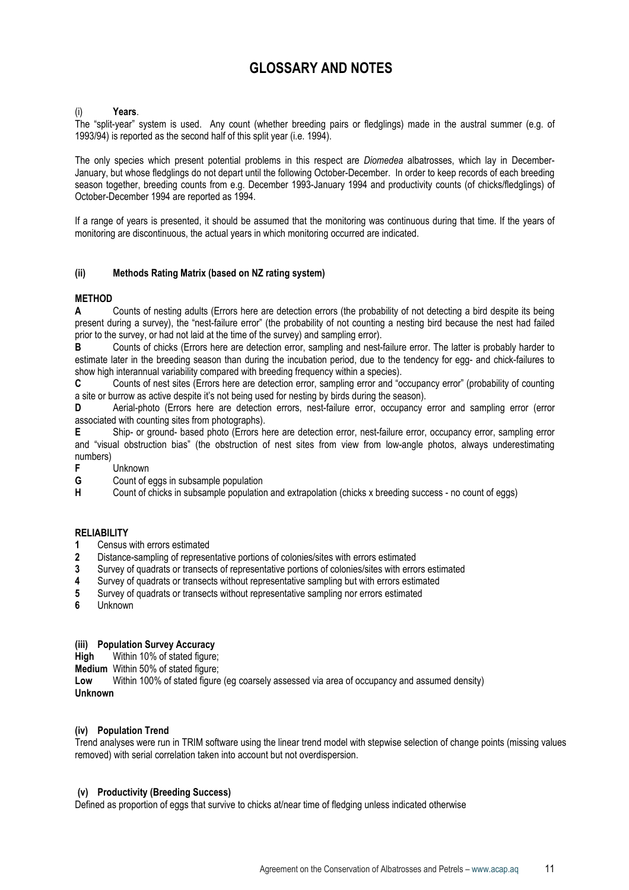## GLOSSARY AND NOTES

#### Years.

The "split-year" system is used. Any count (whether breeding pairs or fledglings) made in the austral summer (e.g. of 1993/94) is reported as the second half of this split year (i.e. 1994).

The only species which present potential problems in this respect are *Diomedea* albatrosses, which lay in December-January, but whose fledglings do not depart until the following October-December. In order to keep records of each breeding season together, breeding counts from e.g. December 1993-January 1994 and productivity counts (of chicks/fledglings) of October-December 1994 are reported as 1994.

If a range of years is presented, it should be assumed that the monitoring was continuous during that time. If the years of monitoring are discontinuous, the actual years in which monitoring occurred are indicated.

#### (ii) Methods Rating Matrix (based on NZ rating system)

## **METHOD**

A Counts of nesting adults (Errors here are detection errors (the probability of not detecting a bird despite its being present during a survey), the "nest-failure error" (the probability of not counting a nesting bird because the nest had failed prior to the survey, or had not laid at the time of the survey) and sampling error).

B Counts of chicks (Errors here are detection error, sampling and nest-failure error. The latter is probably harder to estimate later in the breeding season than during the incubation period, due to the tendency for egg- and chick-failures to show high interannual variability compared with breeding frequency within a species).

C Counts of nest sites (Errors here are detection error, sampling error and "occupancy error" (probability of counting a site or burrow as active despite it's not being used for nesting by birds during the season).

D Aerial-photo (Errors here are detection errors, nest-failure error, occupancy error and sampling error (error associated with counting sites from photographs).

E Ship- or ground- based photo (Errors here are detection error, nest-failure error, occupancy error, sampling error and "visual obstruction bias" (the obstruction of nest sites from view from low-angle photos, always underestimating numbers)

**F** Unknown<br>**G** Count of e

**G** Count of eggs in subsample population<br> **H** Count of chicks in subsample population

Count of chicks in subsample population and extrapolation (chicks x breeding success - no count of eggs)

#### **RELIABILITY**

- 1 Census with errors estimated
- 2 Distance-sampling of representative portions of colonies/sites with errors estimated
- 3 Survey of quadrats or transects of representative portions of colonies/sites with errors estimated
- 4 Survey of quadrats or transects without representative sampling but with errors estimated
- 5 Survey of quadrats or transects without representative sampling nor errors estimated
- 6 Unknown

#### (iii) Population Survey Accuracy

High Within 10% of stated figure;

Medium Within 50% of stated figure;

Low Within 100% of stated figure (eg coarsely assessed via area of occupancy and assumed density) Unknown

#### (iv) Population Trend

Trend analyses were run in TRIM software using the linear trend model with stepwise selection of change points (missing values removed) with serial correlation taken into account but not overdispersion.

#### (v) Productivity (Breeding Success)

Defined as proportion of eggs that survive to chicks at/near time of fledging unless indicated otherwise